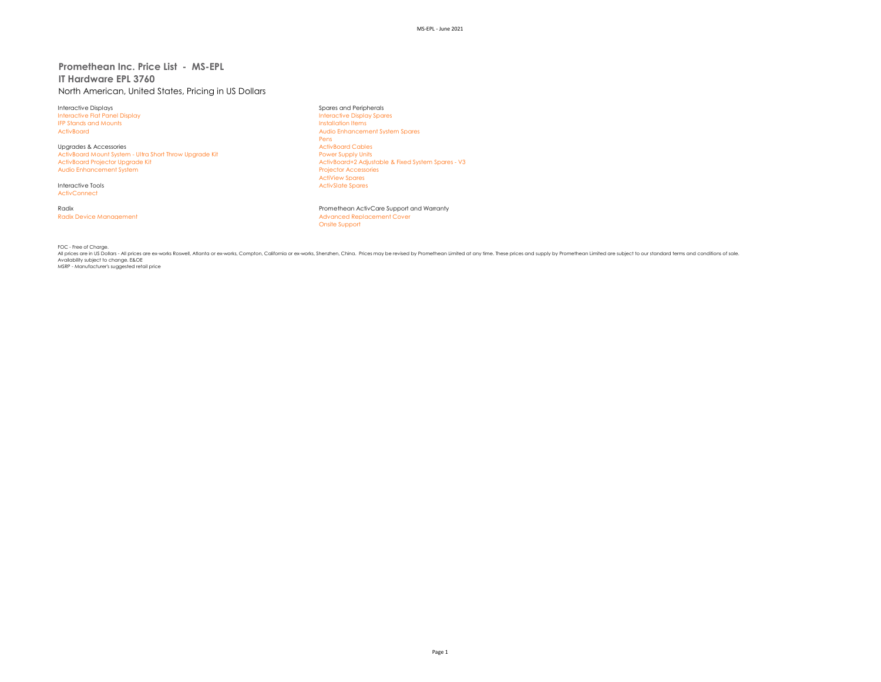# **Promethean Inc. Price List - MS-EPL IT Hardware EPL 3760** North American, United States, Pricing in US Dollars

Interactive Displays Spares and Peripherals Interactive Flat Panel Display **IFP Stands and Mounts Installation Items** Installation Items

Upgrades & Accessories<br>
ActivBoard Mount System - Ultra Short Throw Upgrade Kit Marketing and Marketing Power Supply Units ActivBoard Mount System - Ultra Short Throw Upgrade Kit<br>ActivBoard Proiector Uparade Kit Audio Enhancement System

**ActivConnect** 

ActivBoard Audio Enhancement System Spares Pens<br>ActivBoard Cables ActivBoard+2 Adjustable & Fixed System Spares - V3<br>Projector Accessories ActiView Spares Interactive Tools **ActivSlate Spares** ActivSlate Spares ActivSlate Spares

Radix Promethean ActivCare Support and Warranty Radix Device Management **Advanced Replacement Cover Advanced Replacement Cover** Onsite Support

FOC - Free of Charge.

All prices are in US Dollars - All prices are ex-works Roswell, Atlanta or ex-works, Compton, California or ex-works, Shenzhen, China. Prices may be revised by Promethean Limited at any time. These prices and supply by Pro Availability subject to change. E&OE MSRP - Manufacturer's suggested retail price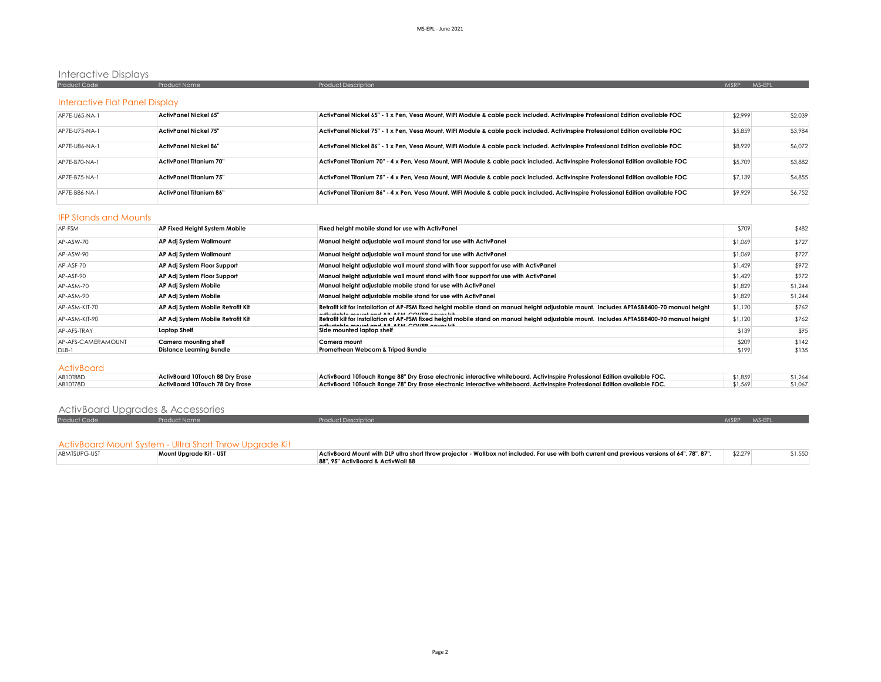# Interactive Displays

| Product Code                   | <b>Product Name</b> | Product Description | MS-EPL<br><b>MSRP</b> |
|--------------------------------|---------------------|---------------------|-----------------------|
|                                |                     |                     |                       |
| Interactive Flat Panel Display |                     |                     |                       |
|                                | .                   |                     | .<br>.                |

| AP7E-U65-NA-1 | ActivPanel Nickel 65"          | ActivPanel Nickel 65" - 1 x Pen, Vesa Mount, WIFI Module & cable pack included. ActivInspire Professional Edition available FOC   | \$2.999 | \$2.039 |
|---------------|--------------------------------|-----------------------------------------------------------------------------------------------------------------------------------|---------|---------|
| AP7E-U75-NA-1 | ActivPanel Nickel 75"          | ActivPanel Nickel 75" - 1 x Pen, Vesa Mount, WIFI Module & cable pack included. ActivInspire Professional Edition available FOC   | \$5,859 | \$3,984 |
| AP7E-U86-NA-1 | ActivPanel Nickel 86"          | ActivPanel Nickel 86" - 1 x Pen, Vesa Mount, WIFI Module & cable pack included. ActivInspire Professional Edition available FOC   | \$8,929 | \$6,072 |
| AP7F-B70-NA-1 | ActivPanel Titanium 70"        | ActivPanel Titanium 70" - 4 x Pen, Vesa Mount, WIFI Module & cable pack included. ActivInspire Professional Edition available FOC | \$5,709 | \$3,882 |
| AP7E-B75-NA-1 | <b>ActivPanel Titanium 75"</b> | ActivPanel Titanium 75" - 4 x Pen. Vesa Mount. WIFI Module & cable pack included. ActivInspire Professional Edition available FOC | \$7,139 | \$4,855 |
| AP7E-B86-NA-1 | <b>ActivPanel Titanium 86"</b> | ActivPanel Titanium 86" - 4 x Pen, Vesa Mount, WIFI Module & cable pack included. ActivInspire Professional Edition available FOC | \$9,929 | \$6,752 |

#### IFP Stands and Mounts

| AP-FSM             | AP Fixed Height System Mobile     | Fixed height mobile stand for use with ActivPanel                                                                                                                                              | \$709   | \$482   |
|--------------------|-----------------------------------|------------------------------------------------------------------------------------------------------------------------------------------------------------------------------------------------|---------|---------|
| AP-ASW-70          | AP Adj System Wallmount           | Manual height adjustable wall mount stand for use with ActivPanel                                                                                                                              | \$1,069 | \$727   |
| AP-ASW-90          | AP Adj System Wallmount           | Manual height adjustable wall mount stand for use with ActivPanel                                                                                                                              | \$1,069 | \$727   |
| AP-ASF-70          | AP Adj System Floor Support       | Manual height adjustable wall mount stand with floor support for use with ActivPanel                                                                                                           | \$1,429 | \$972   |
| AP-ASF-90          | AP Adj System Floor Support       | Manual height adjustable wall mount stand with floor support for use with ActivPanel                                                                                                           | \$1,429 | \$972   |
| AP-ASM-70          | AP Adj System Mobile              | Manual height adjustable mobile stand for use with ActivPanel                                                                                                                                  | \$1,829 | \$1,244 |
| AP-ASM-90          | AP Adj System Mobile              | Manual height adjustable mobile stand for use with ActivPanel                                                                                                                                  | \$1,829 | \$1,244 |
| AP-ASM-KIT-70      | AP Adj System Mobile Retrofit Kit | Retrofit kit for installation of AP-FSM fixed height mobile stand on manual height adjustable mount. Includes APTASBB400-70 manual height<br>edisatelele maximi enal AB ACIA COMER excess lift | \$1,120 | \$762   |
| AP-ASM-KIT-90      | AP Adj System Mobile Retrofit Kit | Retrofit kit for installation of AP-FSM fixed height mobile stand on manual height adjustable mount. Includes APTASBB400-90 manual height<br>calludada associada da AB ABIA COMER a suas lill  | \$1,120 | \$762   |
| AP-AFS-TRAY        | <b>Laptop Shelf</b>               | Side mounted laptop shelf                                                                                                                                                                      | \$139   | \$95    |
| AP-AFS-CAMERAMOUNT | Camera mountina shelf             | Camera mount                                                                                                                                                                                   | \$209   | \$142   |
| DLB-1              | <b>Distance Learning Bundle</b>   | Promethean Webcam & Tripod Bundle                                                                                                                                                              | \$199   | \$135   |
| <b>ActivBoard</b>  |                                   |                                                                                                                                                                                                |         |         |
| AB10T88D           | ActivBoard 10Touch 88 Dry Erase   | ActivBoard 10Touch Range 88" Dry Erase electronic interactive whiteboard. ActivInspire Professional Edition available FOC.                                                                     | \$1,859 | \$1,264 |
| AB10T78D           | ActivBoard 10Touch 78 Dry Erase   | ActivBoard 10Touch Range 78" Dry Erase electronic interactive whiteboard. ActivInspire Professional Edition available FOC.                                                                     | \$1,569 | \$1,067 |

| <b>ActivBoard Upgrades &amp; Accessories</b> |                     |                            |             |  |
|----------------------------------------------|---------------------|----------------------------|-------------|--|
| Product Code                                 | <b>Product Name</b> | <b>Product Description</b> | MSRP MS-EPL |  |

#### ActivBoard Mount System - Ultra Short Throw Upgrade Kit

| ABMTSUPG-UST | Mount Upgrade Kit - UST | ActivBoard Mount with DLP ultra short throw projector - Wallbox not included. For use with both current and previous versions of 64", 78", 87", | \$2,279 |  |
|--------------|-------------------------|-------------------------------------------------------------------------------------------------------------------------------------------------|---------|--|
|              |                         | 88", 95" ActivBoard & ActivWall 88                                                                                                              |         |  |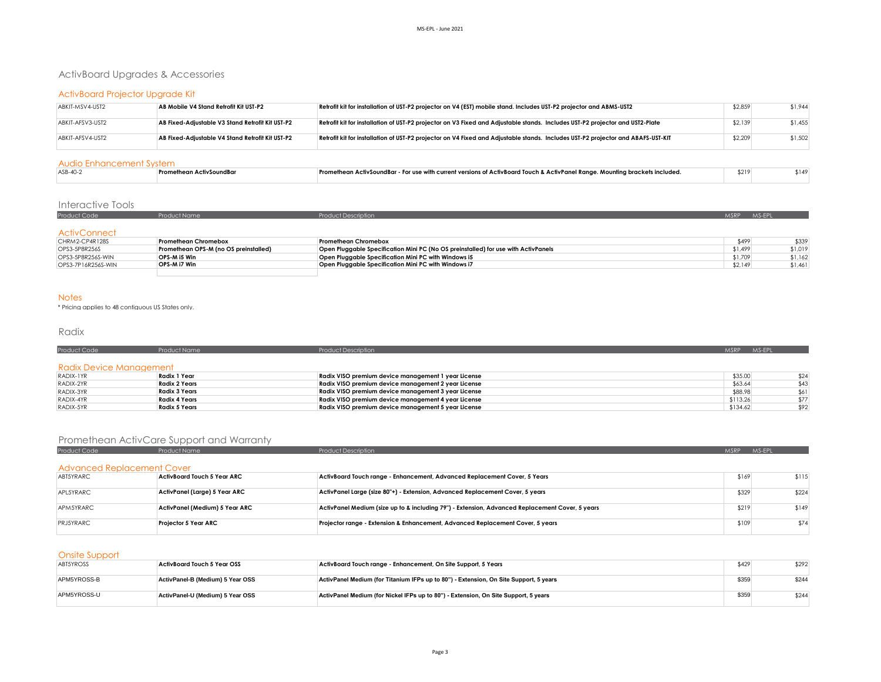# ActivBoard Upgrades & Accessories

# ActivBoard Projector Upgrade Kit

| ABKIT-MSV4-UST2  | AB Mobile V4 Stand Retrofit Kit UST-P2           | Retrofit kit for installation of UST-P2 projector on V4 (EST) mobile stand. Includes UST-P2 projector and ABMS-UST2              | \$2,859 | \$1,944 |
|------------------|--------------------------------------------------|----------------------------------------------------------------------------------------------------------------------------------|---------|---------|
| ABKIT-AFSV3-UST2 | AB Fixed-Adiustable V3 Stand Retrofit Kit UST-P2 | Retrofit kit for installation of UST-P2 projector on V3 Fixed and Adjustable stands. Includes UST-P2 projector and UST2-Plate    | \$2,139 | \$1,455 |
| ABKIT-AFSV4-UST2 | AB Fixed-Adiustable V4 Stand Retrofit Kit UST-P2 | Retrofit kit for installation of UST-P2 projector on V4 Fixed and Adjustable stands. Includes UST-P2 projector and ABAFS-UST-KIT | \$2,209 | \$1,502 |

## Audio Enhancement System

| $ASB-40-$ | ctivSoundBaı<br>inean Aci<br>erom. | re - For use with current versions of ActivBoard Touch & ActivPanel Ranae. Mountina brackets included "<br><b>ActivSoundBar</b> | \$219 |  | ∿4 اه. |  |  |  |
|-----------|------------------------------------|---------------------------------------------------------------------------------------------------------------------------------|-------|--|--------|--|--|--|
|           |                                    |                                                                                                                                 |       |  |        |  |  |  |

#### Interactive Tools

| <b>Product Code</b> | Product Name                          | <b>Product Description</b>                                                         | MSRP    | MS-EPI |
|---------------------|---------------------------------------|------------------------------------------------------------------------------------|---------|--------|
|                     |                                       |                                                                                    |         |        |
| <b>ActivConnect</b> |                                       |                                                                                    |         |        |
| CHRM2-CP4R128S      | <b>Promethean Chromebox</b>           | <b>Promethean Chromebox</b>                                                        | \$499   | \$339  |
| OPS3_5PRR254S       | Promethern OPS-M (no OS preinstalled) | Onen Pluggable Specification Mini PC (No OS preinstalled) for use with ActivPanels | \$1,499 | \$1019 |

| OPS3-5P8R256S        | Promethean OPS-M (no OS preinstalled) | Open Pluggable Specification Mini PC (No OS preinstalled) for use with ActivPanels | \$1,499 | \$1,019 |
|----------------------|---------------------------------------|------------------------------------------------------------------------------------|---------|---------|
| OPS3-5P8R256S-WIN    | OPS-M i5 Win                          | Open Pluggable Specification Mini PC with Windows i5                               | \$1,709 |         |
| $OPSS-7P16R256S-WIN$ | <b>OPS-M i7 Win</b>                   | Open Pluggable Specification Mini PC with Windows i7                               | \$2.149 | \$1,461 |
|                      |                                       |                                                                                    |         |         |

#### **Notes**

\* Pricing applies to 48 contiguous US States only.

# Radix

| <b>Product Code</b>     | <b>Product Name</b>  | <b>Product Description</b>                          | MS-EPL<br><b>MSRP</b> |
|-------------------------|----------------------|-----------------------------------------------------|-----------------------|
| Radix Device Management |                      |                                                     |                       |
|                         | Radix 1 Year         |                                                     | \$35.00               |
| RADIX-1YR               |                      | Radix VISO premium device management 1 year License | \$24                  |
| RADIX-2YR               | <b>Radix 2 Years</b> | Radix VISO premium device management 2 year License | \$63.64<br>\$43       |
| RADIX-3YR               | <b>Radix 3 Years</b> | Radix VISO premium device management 3 year License | \$88.98<br>\$61       |
| RADIX-4YR               | <b>Radix 4 Years</b> | Radix VISO premium device management 4 year License | \$113.26<br>\$77      |
| RADIX-5YR               | <b>Radix 5 Years</b> | Radix VISO premium device management 5 year License | \$134.62<br>\$92      |
|                         |                      |                                                     |                       |

# Promethean ActivCare Support and Warranty

| Product Code                      | Product Name                   | <b>Product Description</b>                                                                      | <b>MSRP</b> | MS-FPI |
|-----------------------------------|--------------------------------|-------------------------------------------------------------------------------------------------|-------------|--------|
| <b>Advanced Replacement Cover</b> |                                |                                                                                                 |             |        |
| ABT5YRARC                         | ActivBoard Touch 5 Year ARC    | ActivBoard Touch range - Enhancement, Advanced Replacement Cover, 5 Years                       | \$169       | \$115  |
| APL5YRARC                         | ActivPanel (Large) 5 Year ARC  | ActivPanel Large (size 80"+) - Extension, Advanced Replacement Cover, 5 years                   | \$329       | \$224  |
| APM5YRARC                         | ActivPanel (Medium) 5 Year ARC | ActivPanel Medium (size up to & including 79") - Extension, Advanced Replacement Cover, 5 years | \$219       | \$149  |
| PRJ5YRARC                         | Projector 5 Year ARC           | Projector range - Extension & Enhancement, Advanced Replacement Cover, 5 years                  | \$109       | \$74   |

## Onsite Support

| _____<br>ABT5YROSS | ActivBoard Touch 5 Year OSS      | ActivBoard Touch range - Enhancement, On Site Support, 5 Years                        | \$429 | \$292 |
|--------------------|----------------------------------|---------------------------------------------------------------------------------------|-------|-------|
| APM5YROSS-B        | ActivPanel-B (Medium) 5 Year OSS | ActivPanel Medium (for Titanium IFPs up to 80") - Extension, On Site Support, 5 years | \$359 | \$244 |
| APM5YROSS-U        | ActivPanel-U (Medium) 5 Year OSS | ActivPanel Medium (for Nickel IFPs up to 80") - Extension, On Site Support, 5 years   | \$359 | \$244 |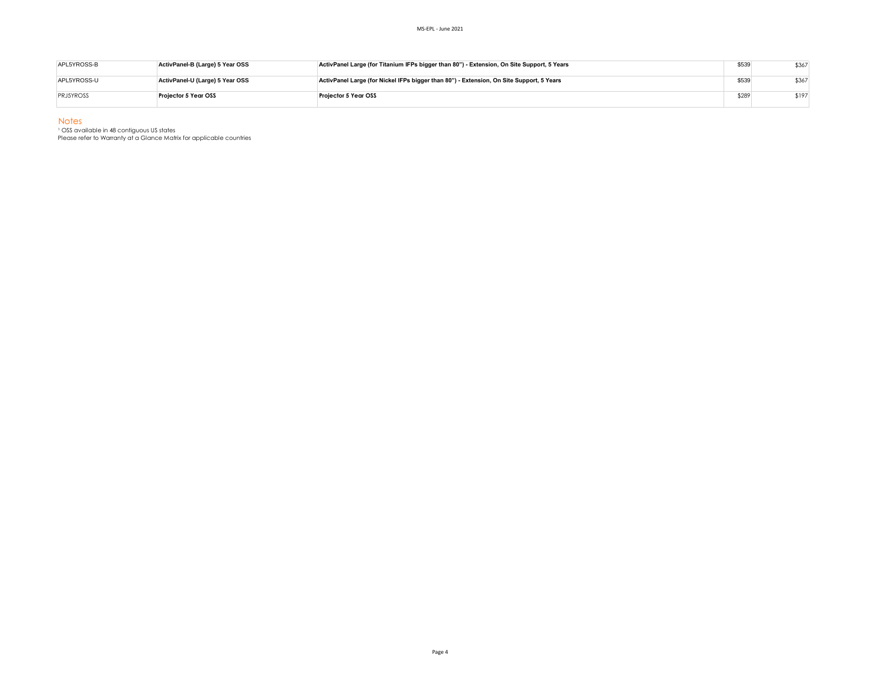| APL5YROSS-B      | ActivPanel-B (Large) 5 Year OSS | ActivPanel Large (for Titanium IFPs bigger than 80") - Extension, On Site Support, 5 Years | \$539 | \$367 |
|------------------|---------------------------------|--------------------------------------------------------------------------------------------|-------|-------|
| APL5YROSS-U      | ActivPanel-U (Large) 5 Year OSS | ActivPanel Large (for Nickel IFPs bigger than 80") - Extension, On Site Support, 5 Years   | \$539 | \$367 |
| <b>PRJ5YROSS</b> | Projector 5 Year OSS            | Proiector 5 Year OSS                                                                       | \$289 | \$197 |

Notes

<sup>1</sup> OSS available in 48 contiguous US states

Please refer to Warranty at a Glance Matrix for applicable countries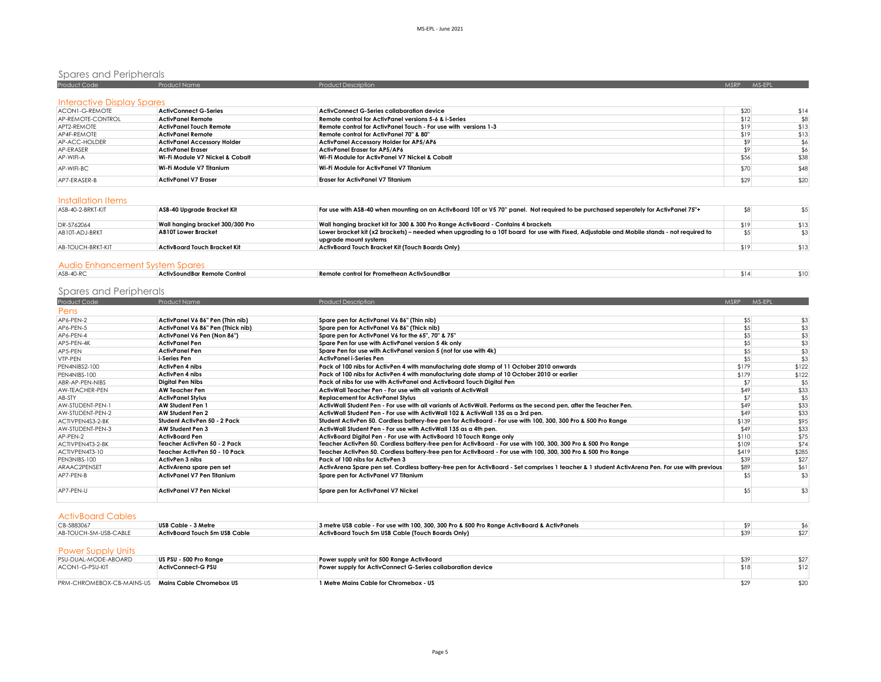# Spares and Peripherals

| Product Code                      | <b>Product Name</b>                | <b>Product Description</b>                                      | <b>MSRP</b> | MS-EPL |
|-----------------------------------|------------------------------------|-----------------------------------------------------------------|-------------|--------|
| <b>Interactive Display Spares</b> |                                    |                                                                 |             |        |
| ACON1-G-REMOTE                    | <b>ActivConnect G-Series</b>       | ActivConnect G-Series collaboration device                      | \$20        | \$14   |
| AP-REMOTE-CONTROL                 | <b>ActivPanel Remote</b>           | Remote control for ActivPanel versions 5-6 & i-Series           | \$12        |        |
| APT2-REMOTE                       | ActivPanel Touch Remote            | Remote control for ActivPanel Touch - For use with versions 1-3 | \$19        | \$13   |
| AP4F-REMOTE                       | ActivPanel Remote                  | Remote control for ActivPanel 70" & 80"                         | \$19        | \$13   |
| AP-ACC-HOLDER                     | <b>ActivPanel Accessory Holder</b> | <b>ActivPanel Accessory Holder for AP5/AP6</b>                  | \$9         |        |
| AP-ERASER                         | ActivPanel Eraser                  | ActivPanel Eraser for AP5/AP6                                   | \$9         |        |
| AP-WIFI-A                         | Wi-Fi Module V7 Nickel & Cobalt    | Wi-Fi Module for ActivPanel V7 Nickel & Cobalt                  | \$56        | \$38   |
| AP-WIFI-BC.                       | Wi-Fi Module V7 Titanium           | Wi-Fi Module for ActivPanel V7 Titanium                         | \$70        | \$48   |
| AP7-FRASFR-B                      | <b>ActivPanel V7 Eraser</b>        | <b>Eraser for ActivPanel V7 Titanium</b>                        | \$29        | \$20   |

# Installation Items

| ASB-40-2-BRKT-KIT | ASB-40 Upgrade Bracket Kit       | For use with ASB-40 when mounting on an ActivBoard 10T or V5 70" panel. Not required to be purchased seperately for ActivPanel 75"+       |      |      |
|-------------------|----------------------------------|-------------------------------------------------------------------------------------------------------------------------------------------|------|------|
| DR-5762064        | Wall hanging bracket 300/300 Pro | Wall hanging bracket kit for 300 & 300 Pro Range ActivBoard - Contains 4 brackets                                                         | \$19 | \$13 |
| AB10T-ADJ-BRKT    | <b>AB10T Lower Bracket</b>       | Lower bracket kit (x2 brackets) – needed when upgrading to a 10T board for use with Fixed, Adjustable and Mobile stands - not required to |      |      |
|                   |                                  | uparade mount systems                                                                                                                     |      |      |
| AB-TOUCH-BRKT-KIT | ActivBoard Touch Bracket Kit     | ActivBoard Touch Bracket Kit (Touch Boards Only)                                                                                          | \$19 | \$13 |
|                   |                                  |                                                                                                                                           |      |      |

# Audio Enhancement System Spares

| $ASR-40-R$ | ActivSoundBar Remote Control | control for Promethean ActivSoundBar<br><b>KAM</b><br>. . | \$11 | . |
|------------|------------------------------|-----------------------------------------------------------|------|---|
|            |                              |                                                           |      |   |

# Spares and Peripherals

| Product Code     | Product Name                      | <b>Product Description</b>                                                                                                                     | <b>MSRP</b> | MS-EPL |
|------------------|-----------------------------------|------------------------------------------------------------------------------------------------------------------------------------------------|-------------|--------|
| Pens             |                                   |                                                                                                                                                |             |        |
| AP6-PEN-2        | ActivPanel V6 86" Pen (Thin nib)  | Spare pen for ActivPanel V6 86" (Thin nib)                                                                                                     | \$5         | \$3    |
| AP6-PEN-5        | ActivPanel V6 86" Pen (Thick nib) | Spare pen for ActivPanel V6 86" (Thick nib)                                                                                                    | \$5         | \$3    |
| AP6-PEN-4        | ActivPanel V6 Pen (Non 86")       | Spare pen for ActivPanel V6 for the 65", 70" & 75"                                                                                             | \$5         | \$3    |
| AP5-PEN-4K       | <b>ActivPanel Pen</b>             | Spare Pen for use with ActivPanel version 5 4k only                                                                                            | \$5         | \$3    |
| AP5-PEN          | <b>ActivPanel Pen</b>             | Spare Pen for use with ActivPanel version 5 (not for use with 4k)                                                                              | \$5         | \$3    |
| VTP-PEN          | i-Series Pen                      | <b>ActivPanel i-Series Pen</b>                                                                                                                 | \$5         | \$3    |
| PEN4NIBS2-100    | <b>ActivPen 4 nibs</b>            | Pack of 100 nibs for ActivPen 4 with manufacturing date stamp of 11 October 2010 onwards                                                       | \$179       | \$122  |
| PEN4NIBS-100     | <b>ActivPen 4 nibs</b>            | Pack of 100 nibs for ActivPen 4 with manufacturing date stamp of 10 October 2010 or earlier                                                    | \$179       | \$122  |
| ABR-AP-PEN-NIBS  | <b>Digital Pen Nibs</b>           | Pack of nibs for use with ActivPanel and ActivBoard Touch Digital Pen                                                                          | \$7         | \$5    |
| AW-TEACHER-PEN   | <b>AW Teacher Pen</b>             | ActivWall Teacher Pen - For use with all variants of ActivWall                                                                                 | \$49        | \$33   |
| AB-STY           | <b>ActivPanel Stylus</b>          | <b>Replacement for ActivPanel Stylus</b>                                                                                                       | \$7         | \$5    |
| AW-STUDENT-PEN-1 | <b>AW Student Pen 1</b>           | ActivWall Student Pen - For use with all variants of ActivWall. Performs as the second pen, after the Teacher Pen.                             | \$49        | \$33   |
| AW-STUDENT-PEN-2 | AW Student Pen 2                  | ActivWall Student Pen - For use with ActivWall 102 & ActivWall 135 as a 3rd pen.                                                               | \$49        | \$33   |
| ACTIVPEN4S3-2-BK | Student ActivPen 50 - 2 Pack      | Student ActivPen 50. Cordless battery-free pen for ActivBoard - For use with 100, 300, 300 Pro & 500 Pro Range                                 | \$139       | \$95   |
| AW-STUDENT-PEN-3 | AW Student Pen 3                  | ActivWall Student Pen - For use with ActivWall 135 as a 4th pen.                                                                               | \$49        | \$33   |
| AP-PFN-2         | <b>ActivBoard Pen</b>             | ActivBoard Digital Pen - For use with ActivBoard 10 Touch Range only                                                                           | \$110       | \$75   |
| ACTIVPEN4T3-2-BK | Teacher ActivPen 50 - 2 Pack      | Teacher ActivPen 50. Cordless battery-free pen for ActivBoard - For use with 100, 300, 300 Pro & 500 Pro Range                                 | \$109       | \$74   |
| ACTIVPEN4T3-10   | Teacher ActivPen 50 - 10 Pack     | Teacher ActivPen 50. Cordless battery-free pen for ActivBoard - For use with 100, 300, 300 Pro & 500 Pro Range                                 | \$419       | \$285  |
| PEN3NIBS-100     | ActivPen 3 nibs                   | Pack of 100 nibs for ActivPen 3                                                                                                                | \$39        | \$27   |
| ARAAC2PENSET     | ActivArena spare pen set          | ActivArena Spare pen set. Cordless battery-free pen for ActivBoard - Set comprises 1 teacher & 1 student ActivArena Pen. For use with previous | \$89        | \$61   |
| AP7-PEN-B        | ActivPanel V7 Pen Titanium        | Spare pen for ActivPanel V7 Titanium                                                                                                           | \$5         | \$3    |
| AP7-PEN-U        | <b>ActivPanel V7 Pen Nickel</b>   | Spare pen for ActivPanel V7 Nickel                                                                                                             | \$5         | \$3    |

## ActivBoard Cables

| CB-5883067            | USB Cable - 3 Metre           | 3 metre USB cable - For use with 100, 300, 300 Pro & 500 Pro Range ActivBoard & ActivPanels |  |
|-----------------------|-------------------------------|---------------------------------------------------------------------------------------------|--|
| AB-TOUCH-5M-USB-CABLE | ActivBoard Touch 5m USB Cable | ActivBoard Touch 5m USB Cable (Touch Boards Only)                                           |  |
|                       |                               |                                                                                             |  |

## Power Supply Units

| PSU-DUAL-MODE-ABOARD                               | US PSU - 500 Pro Range    | Power supply unit for 500 Range ActivBoard                  | \$39 | \$27 |
|----------------------------------------------------|---------------------------|-------------------------------------------------------------|------|------|
| ACON1-G-PSU-KIT                                    | <b>ActivConnect-G PSU</b> | Power supply for ActivConnect G-Series collaboration device | \$18 | \$12 |
| PRM-CHROMEBOX-CB-MAINS-US Mains Cable Chromebox US |                           | 1 Metre Mains Cable for Chromebox - US                      |      | \$20 |